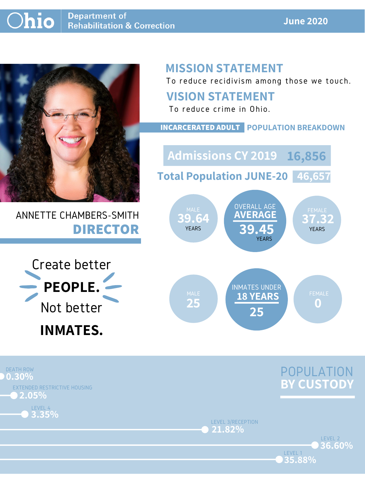#### **June 2020**



# ANNETTE CHAMBERS-SMITH **DIRECTOR**

# **MISSION STATEMENT**

To reduce recidivism among those we touch.





LEVEL 1

LEVEL 3/RECEPTION **21.82%**



**35.88%**



### **VISION STATEMENT**



To reduce crime in Ohio.

#### **INCARCERATED ADULT POPULATION BREAKDOWN**

**Total Population JUNE-20 46,657**

**Admissions CY 2019 16,856**

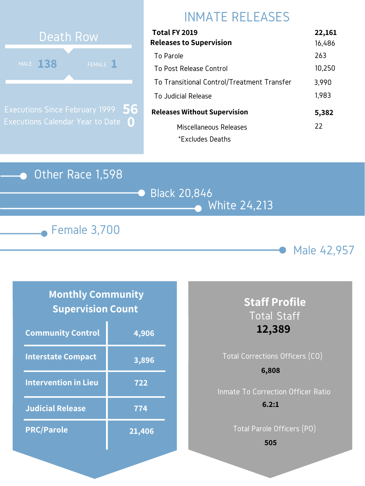### Other Race 1,598







# INMATE RELEASES

| Total FY 2019                              | 22,161 |
|--------------------------------------------|--------|
| <b>Releases to Supervision</b>             | 16,486 |
| To Parole                                  | 263    |
| To Post Release Control                    | 10,250 |
| To Transitional Control/Treatment Transfer | 3,990  |
| To Judicial Release                        | 1,983  |
| <b>Releases Without Supervision</b>        | 5,382  |
| Miscellaneous Releases                     | 22     |
| *Excludes Deaths                           |        |



Executions Since February 1999 Executions Calendar Year to Date **0 56**

### **Monthly Community Supervision Count**

| <b>Community Control</b>    | 4,906  |
|-----------------------------|--------|
| <b>Interstate Compact</b>   | 3,896  |
| <b>Intervention in Lieu</b> | 722    |
| <b>Judicial Release</b>     | 774    |
| <b>PRC/Parole</b>           | 21,406 |

## **Staff Profile** Total Staff **12,389**

# Total Corrections Officers (CO) Inmate To Correction Officer Ratio **6,808 6.2:1**

Total Parole Officers (PO)

**505**